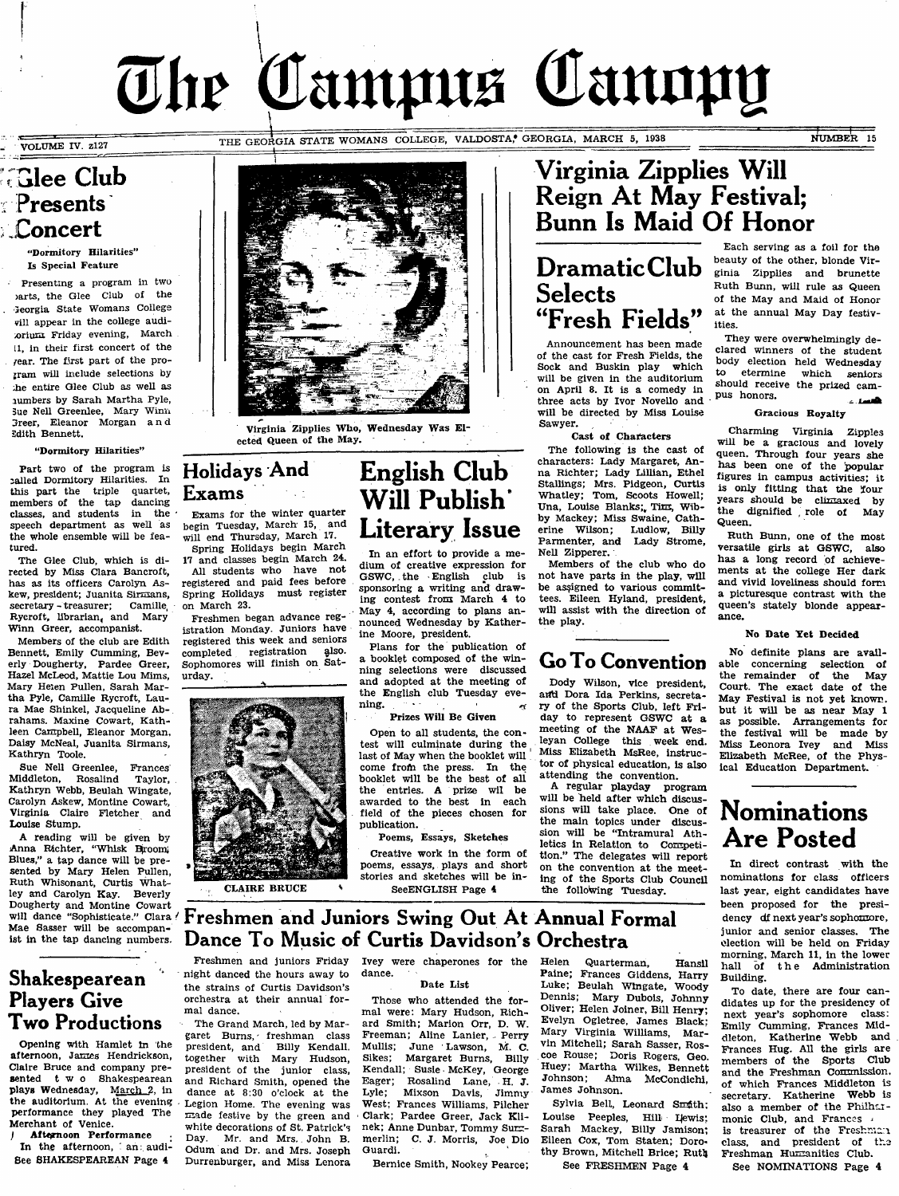# The Campus Cannpy

VOLUME IV. z127

.1 **- ^**

THE GEORGIA STATE WOMANS COLLEGE, VALDOSTA, GEORGIA, MARCH 5, 1938 NUMBER 15

# *<u>FGlee</u>* Club Presents .Concert

^Dormitory Hilarities" Is Special Feature

Presenting a program in two )arts, the Glee Club of the . Georgia State Womans CoUege vill appear in the college auditorium Friday evening, March tl, in their first concert of the /ear. The first part of the program will include selections by the entire Glee Club as weU as lumbers by Sarah Martha Pyle, Sue NeU Greenlee, Mary Winn 3reer, Eleanor Morgan a n d Sdith Bennett.

### ^Dormitory Hilarities"

Part two of the program is :alled Dormitory Hilarities. In this part the triple quartet,<br>members of the tap dancing members of the tap classes, and students in the speech department as well as the whole ensemble wiU be featured.

The Glee Club, which is directed by Miss Clara Bancroft, has as its officers Carolyn Askew, president; Juanita Sirmans,<br>secretary - treasurer: Camille secretary - treasurer; Rycroft, librarian, and Mary Winn Greer, accompanist.

Members of the club are Edith Bennett, Emily Cumming, Beverly Dougherty, Pardee Greer, Hazel McLeod, Mattie Lou Mims, Mary Helen Pullen, Sarah Martha Pyle, Camille Rycroft, Laura Mae Shinkel, Jacqueline Abrahams. Maxine Cowart, Kathleen Campbell, Eleanor Morgan, Daisy McNeal, Juanita Sirmans, Kathryn Toole.

Sue Nell Greenlee, Frances Middleton, Rosalind Taylor, Kathryn Webb, Beulah Wingate, Carolyn Askew, Montine Cowart, Virginia Claire Fletcher and Louise Stump.

A reading wiU be given by Anna Richter, "Whisk Broom; Blues," a tap dance will be presented by Mary Helen Pullen, Ruth Whisonant, Curtis Whatley and Carolyn Kay. Beverly Dougherty and Montine Cowart will dance "Sophisticate." Clara ! Mae Sasser will be accompanist in the tap dancing numbers.

# Shakespearean Players Give Two Productions

Opening with Hamlet in the afternoon, James Hendrickson, Claire Bruce and company presented t w o Shakespearean plays Wednesday, March 2, in the auditorium. At the evening. performance they played The Merchant of Venice,

Afternoon Performance In the afternoon, an: audi-See SHAKESPEAREAN Page 4



Virginia Zipplies Who, Wednesday Was Elected Queen of the May.

# Holidays And Exams

Exams for the winter quarter begin Tuesday, March 15, and wiU end Thursday, March 17.

Spring Holidays begin March 17 and classes begin March 24. All students who have not registered and paid fees before Spring Holidays must register on March 23.

Freshmen began advance registration Monday. Juniors have registered this week and seniors<br>completed registration also. completed registration Sophomores will finish on Saturday.



**CLAIRE RRIICE** 

Freshmen and juniors Friday night danced the hours away to the strains of Curtis Davidson's orchestra at their annual for-

The Grand March, led by Margaret Burns, freshman class president, and Billy Kendall, together with Mary Hudson, president of the junior class, and Richard Smith, opened the dance at 8:30 o'clock at the Legion Home. The evening was made festive by the green and white decorations of St. Patrick's<br>Day. Mr. and Mrs. John B. Mr. and Mrs. John B. Odum and Dr. and Mrs. Joseph Durrenburger, and Miss Lenora

mal dance.

# English Club Will Publish' Literary Issue

In an effort to provide a medium of creative expression for GSWC, the English club is sponsoring a writing and drawing contest from March 4 to May 4, according to plans announced Wednesday by Katherine Moore, president.

Plans for the publication of a booklet composed of the winning selections were discussed and adopted at the meeting of the English club Tuesday evening.

Prizes WiH Be Given

Open to all students, the contest will culminate during the ^ last of May when the booklet will come from the press. In the booklet will be the best of all the entries. A prize wil be awarded to the best in each field of the pieces chosen for publication.

Poems, Essays, Sketches

Creative work in the form of poems, essays, plays and short stories and sketches will be in-SeeENGLISH Page 4

# Virginia Zipplies WiH Reign At May Festival; Bunn Is Maid Of Honor

# DramaticClub Selects "Fresh Fields"

Announcement has been made of the cast for Fresh Fields, the<br>Sock and Buskin play which Sock and Buskin play will be given in the auditorium on April 8. It is a comedy in three acts by Ivor Novello and will be directed by Miss Louise Sawyer,

Cast of Characters

The following is the cast of characters: Lady Margaret, Anna Richter; Lady Lillian, Ethel Stallings; Mrs. Pidgeon, Curtis Whatley; Tom, Scoots Howell; Una, Louise Blanks; Tim, Wibby Mackey; Miss Swaine, Catherine Wilson; Ludlow, Billy Parmenter, and Lady Strome, Nell Zipperer,

Members of the club who do not have parts in the play, will be assigned to various committees. Eileen Hyland, president, will assist with the direction of the play.

# Go To Convention

Dody Wilson, vice president, and Dora Ida Perkins, secretary of the Sports Club, left Friday to represent GSWC at a meeting of the NAAF at Wesleyan Coilege this week end. Miss Elizabeth MsRee, instructor of physical education, is also attending the convention.

A regular playday program will be held after which discussions will take place. One of the main topics under discussion wiil be "Intramural Athletics in Relation to Competition." The delegates wiil report on the convention at the meeting of the Sperts Club Council the following Tuesday.

Each serving as a foil for the beauty of the other, blonde Virginia Zipplies and brunette Ruth Bunn, will rule as Queen of the May and Maid of Honor at the annual May Day festivities.

They were overwhelmingly declared winners of the student body election held Wednesday<br>to etermine which conjour etermine which seniors should receive the prized campus honors. هسدت

### Gracious Royalty

Charming Virginia Zipples will be a gracious and lovely queen. Through four years she has been one of the popular figures in campus activities; it is only fitting that the four years should be climaxed by the dignified , role of May Queen.

Ruth Bunn, one of the most versatile girls at GSWC, also has a long record of achievements at the college Her dark and vivid loveliness should form a picturesque contrast with the queen's stately blonde appearance.

### No Date Yet Decided

No definite plans are available concerning selection of the remainder of the May Court. The exact date of the May Festival is not yet known, but it will be as near May 1 as possible. Arrangements for the festival will be made by Miss Leonora Ivey and Miss Elizabeth McRee, of the Physical Education Department.

# Nominations Are Posted

In direct contrast with the nominations for class officers last year, eight candidates have been proposed for the presidency df next year's sophomore, junior and senior classes. The election wiil be held on Friday morning, March 11, in the lower hall of the Administration Building.

To date, there are four candidates up for the presidency of next year's sophomore class: Emily Cumming, Frances Middleton, Katherine Webb and Frances Hug. Ail the girls are members of the Sports Club and the Freshman Commission, of which Frances Middleton is secretary. Katherine Webb is also a member of the Philharmonic Club, and Frances is treasurer of the Freshman class, and president of the Freshman Humanities Club.

See NOMINATIONS Page 4

Ivey were chaperones for the dance.

Freshmen and Juniors Swing Out At Annual Formal

Dance To Music of Curtis Davidson's Orchestra

### Date List

Those who attended the formal were: Mary Hudson, Richard Smith; Marion Orr, D. W. Freeman; Aline Lanier, Perry Mullis; June Lawson, M. C. Mullis; June Lawson, M. C. Sikes; Margaret Burns, Billy Kendall; Susie McKey, George Eager; Rosalind Lane, H. J.<br>Lyle; Mixson Davis, Jimmy Lyle; Mixson Davis, Jimmy West; Frances Williams, Pilcher Clark; Pardee Greer, Jack Klinek; Anne Dunbar, Tommy Surz-<br>merlin: C. J. Morris. Joe Dio C. J. Morris, Joe Dio Guardi.

Bernice Smith, Nookey Pearce;

Helen Quarterman, Hansil Paine; Frances Giddens, Harry Luke; Beulah Wingate, Woody Dennis; Mary Dubois, Johnny Oliver; Helen Joiner, Bill Henry; Evelyn Ogletree, James Black: Mary Virginia Williams, Marvin Mitcheil; Sarah Sasser, Roscoe Rouse; Doris Rogers, Geo. Huey; Martha Wilkes, Bennett<br>Johnson: Alma McCondichi Alma McCondichi, James Johnson.

Sylvia Bell, Leonard Smith: Louise Peeples, Hill Lewis; Sarah Mackey, Billy Jamison; Eileen Cox, Tom Staten; Dorothy Brown, Mitchell Brice; Ruth

See FRESHMEN Page 4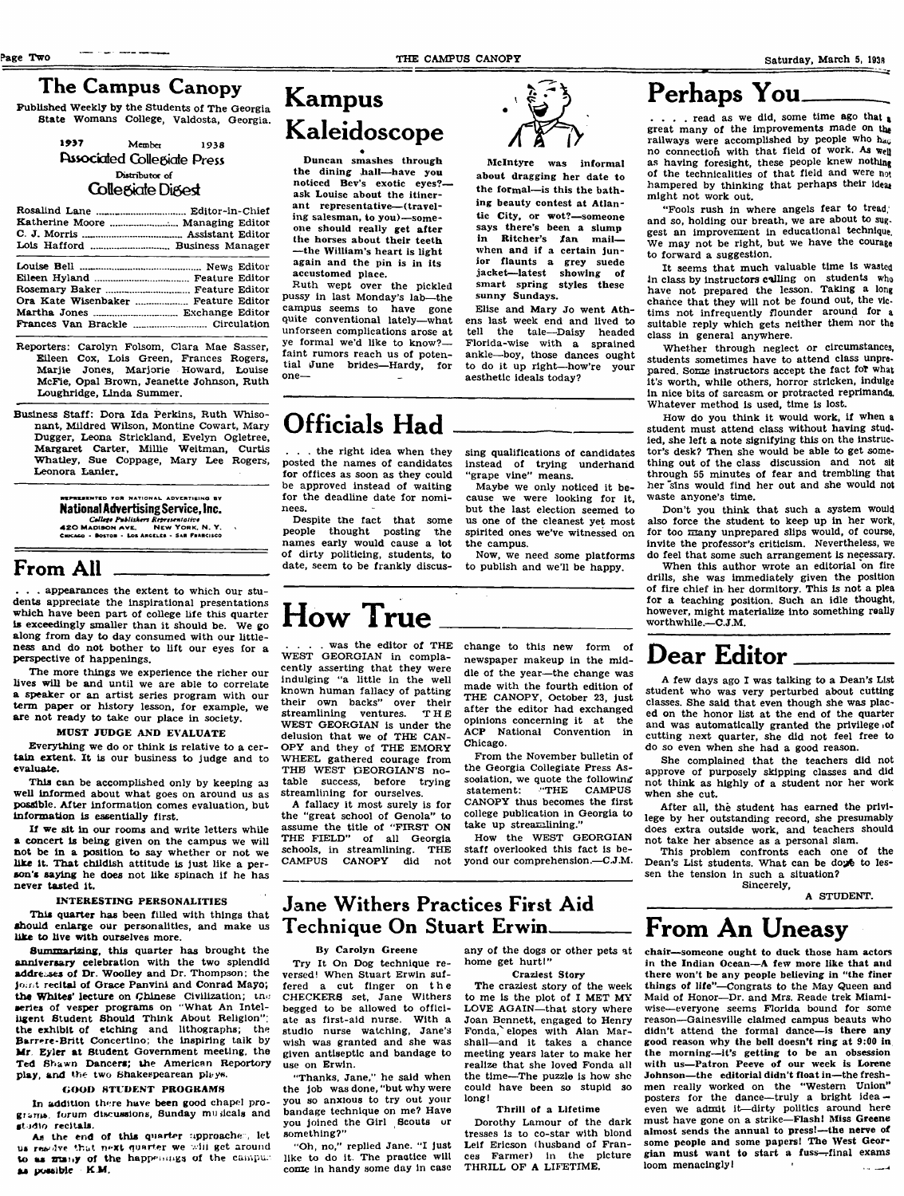# The Campus Canopy

Published Weekly by the Studerits of The Georgia State Womans College, Valdosta, Georgia.

### 1937 Member 1938 **Fasociated Collegiate Press Distributor of**

### Collegiate Digest

| the component of the component of the component of the component of the component of the component of the component of the component of the component of the component of the component of the component of the component of t |  |  |
|--------------------------------------------------------------------------------------------------------------------------------------------------------------------------------------------------------------------------------|--|--|
|                                                                                                                                                                                                                                |  |  |
|                                                                                                                                                                                                                                |  |  |
|                                                                                                                                                                                                                                |  |  |
| Ora Kate Wisenbaker  Feature Editor                                                                                                                                                                                            |  |  |
|                                                                                                                                                                                                                                |  |  |
|                                                                                                                                                                                                                                |  |  |
|                                                                                                                                                                                                                                |  |  |

- Reporters: Carolyn Folsom, Clara Mae Sasser, Eileen Cox, Lois Green, Frances Rogers, Marjie Jones, Marjorie Howard, Louise McFie, Opal Brown, Jeanette Johnson, Ruth Loughridge, Linda Summer.
- Business Staff: Dora Ida Perkins, Ruth Whisonant, Mildred Wilson, Montine Cowart, Mary Dugger, Leona Strickland, Evelyn Ogletree, Margaret Carter, Millie Weitman, Curtis Whatley, Sue Coppage, Mary Lee Rogers, Leonora Lanier.

TEENTED FOR NATIONAL ADVERTIEING BY National Advertising Service, Inc. 420 MADISON AVE, NEW YORK, N. Y.<br>Chicago - Boston - Los Argeles - Sar Francisco

# From AH

. appearances the extent to which our students appreciate the inspirational presentations which have been part of college life this quarter is exceedingly smaller than it should be. We go along from day to day consumed with our littleness and do not bother to lift our eyes for a perspective of happenings.

The more things we experience the richer our lives will be and until we are able to correlate a speaker or an artist series program with our term paper or history lesson, for example, we are not ready to take our place in society.

### MUST JUDGE AND EVALUATE

Everything we do or think is relative to a certain extent. It is our business to judge and to evaluate.

This can be accomplished only by keeping as well informed about what goes on around us as possible. After information comes evaluation, but information is essentially first.

If we sit in our rooms and write letters while a concert is being given on the campus we will not be in a position to say whether or not we like it. That childish attitude is just like a person's saying he does not like spinach if he has never tasted it.

### INTERESTING PERSONALITIES

This quarter has been filled with things that shouid enlarge our personalities, and make us like to live with ourselves more.

Summarizing, this quarter has brought the anniversary celebration with the two splendid addresses of Dr. Woolley and Dr. Thompson: the joint recital of Grace Panvini and Conrad Mayo; the Whites' lecture on Chinese Civilization; tnu series of vesper programs on "What An Inteliigent Student Should Think About Religion the exhibit of etching and lithographs; the Barrere-Britt Concertino; the inspiring talk by Mr Eyier at Student Government meeting, the Ted Shawn Dancers; the American Reportory play, and the two Shakespearean phys.

### GOOD STUDENT PROGRAMS

In addition there have been good chapel programs, forum discussions, Sunday musicals and studio recitals.

As the end of this quarter upproached, let us readve that next quarter we will get around to as many of the happenings of the campuas possible **K M .**

# Kampus Kaleidoscope s

Duncan smashes through the dining hall—have you noticed Bev's exotic eyes? ask Louise about the itinerant representative— (traveling salesman, to you)—someone should really get after the horses about their teeth —the Wiiliamis heart is light again and the pin is in its accustomed place.

Ruth wept over the pickled pussy in last Monday's lab—the campus seems to have gone quite conventional lately—what unforseen complications arose at ye formal we'd like to know? faint rumors reach us of potential June brides—Hardy, for one—

# Officials Had

. the right idea when they posted the names of candidates for offices as soon as they could be approved instead of waiting for the deadline date for nominees.

Despite the fact that some people thought posting the names early would cause a lot of dirty politicing, students, to date, seem to be frankly discussing qualifications of candidates instead of trying underhand "grape vine" means.

McIntyre was informal about dragging her date to the formal—is this the bathing beauty contest at Atlantic City, or wot?—someone says there's been a slump<br>in Ritcher's fan mail in Ritcher's fan when and if a certain junior flaunts a grey suede jacket—latest showing of smart spring styles these

Elise and Mary Jo went Athens last week end and lived to tell the tale—Daisy headed Florida-wise with a sprained ankle—boy, those dances ought to do it up right—how're your

sunny Sundays.

aesthetic ideals today?

Maybe we only noticed it because we were looking for it, but the last election seemed to us one of the cleanest yet most spirited ones we've witnessed on the campus.

Now, we need some platforms to publish and we'll be happy.

# How True

was the editor of THE WEST GEORGIAN in complacently asserting that they were indulging "a little in the well known human fallacy of patting their own backs" over their streamlining ventures. T H E WEST GEORGIAN is under the delusion that we of THE CAN-OPY and they of THE EMORY WHEEL gathered courage from THE WEST GEORGIAN'S notable success, before trying streamlining for ourselves.

A fallacy it most surely is for the "great school of Genola" to assume the title of "FIRST ON THE FIELD" of all Georgia<br>schools, in streamlining. THE schools, in streamlining.<br>CAMPUS CANOPY did CAMPUS CANOPY did not

change to this new form of newspaper makeup in the middle of the year—the change was made with the fourth edition of THE CANOPY, October 23, just after the editor had exchanged opinions concerning it at the ACP National Convention in Chicago.

From the November bulletin of the Georgia Collegiate Press Association, we quote the following statement: "THE CAMPUS CANOPY thus becomes the first college publication in Georgia to take up streamlining."

How the WEST GEORGIAN staff overlooked this fact is beyond our comprehension.—C.J.M.

# Jane Withers Practices First Aid Technique On Stuart Erwin\_\_\_\_

### By Carolyn Greene

Try It On Dog technique reversed! When Stuart Erwin suffered a cut finger on the CHECKERS set, Jane Withers begged to be allowed to officiate as first-aid nurse. With a studio nurse watching, Jane's wish was granted and she was given antiseptic and bandage to use on Erwin.

"Thanks, Jane," he said when the job was done, "but why were you so anxious to try out your bandage technique on me? Have you joined the Girl Scouts or something?"

"Oh, no," replied Jane. "I just like to do it. The practice will come in handy some day in case any of the dogs or other pets at home get hurt!" Craziest Story

The craziest story of the week

to me is the plot of I MET MY LOVE AGAIN—that story where Joan Bennett, engaged to Henry Fonda, elopes with Alan Marshall—and it takes a chance meeting years later to make her realize that she loved Fonda aii the time—The puzzle is how she couid have been so stupid so long!

### Thrill of a Lifetime

Dorothy Lamour of the dark tresses is to co-star with blond Leif Ericson (husband of Frances Farmer) in the picture THRILL OF A LIFETIME.

# Perhaps You

 $\ldots$  read as we did, some time ago that  $\mathbf x$ great many of the improvements made on the railways were accomplished by people who  $h_{\alpha\beta}$ no connection with that field of work. As well as having foresight, these people knew nothing of the technicalities of that field and were not hampered by thinking that perhaps their ideas might not work our,

"Fools rush in where angels fear to tread," and so, holding our breath, we are about to sug. gest an improvement in educational technique. We may not be right, but we have the courage to forward a suggestion.

It seems that much valuable time Is wasted In class by instructors calling on students who have not prepared the lesson. Taking a long chahce that they will not be found out, the vietims not infrequently flounder around for s suitable reply which gets neither them nor the class in general anywhere.

Whether through neglect or circumstances, students sometimes have to attend class unprepared. Some instructors accept the fact foT what it's worth, while others, horror stricken, indulge in nice bits of sarcasm or protracted reprimands. Whatever method is used, time is lost.

How do you think it would work, if when a student must attend class without having studied, she left a note signifying this on the instructor's desk? Then she would be able to get something out of the class discussion and not sit through 55 minutes of fear and trembling that her sins would find her out and she would not waste anyone's time.

Don't you think that such a system would also force the student to keep up in her work, for too many unprepared siips would, of course, invite the professor's criticism. Nevertheless, we do feel that some such arrangement is necessary.

When this author wrote an editorial on fire drills, she was immediately given the position of fire chief in her dormitory. This is not a plea for a teaching position. Such an idle thought, however, might materialize into something really worthwhile.—C.JM.

# Dear Editor

A few days ago I was talking to a Dean's List student who was very perturbed about cutting classes. She said that even though she was placed on the honor list at the end of the quarter and was automatically granted the privilege of cutting next quarter, she did not feel free to do so even when she had a good reason.

She complained that the teachers did not approve of purposely skipping classes and did not think as highly of a student nor her work when she cut.

After all, the student has earned the privilege by her outstanding record, she presumably does extra outside work, and teachers should not take her absence as a personal slam.

This problem confronts each one of the Dean's List students. What can be doyé to lessen the tension in such a situation? Sincerely,

A STUDENT.

# From An Uneasy

chair—someone ought to duck those ham actors in the Indian Ocean—A few more like that and there won't be any people believing in "the finer things of life"—Congrats to the May Queen and Maid of Honor—Dr. and Mrs. Reade trek Miamiwise—everyone seems Florida bound for some reason—Gainesville claimed campus beauts who didn't attend the formal dance—is there any good reason why the beil doesn't ring at 9:00 in the morning—it's getting to be an obsession with us—Patron Peeve of our week is Lorene Johnson—the editorial didn't fioat in—the freshmen rcaily worked on the "Western Union" posters for the dance—truly a bright idea even we admit it—dirty politics around here must have gone on a strike—Flash! Miss Greene almost sends the annual to press!—the nerve of some people and some papers! The West Georgian must want to start a fuss--final exams loom menacingly!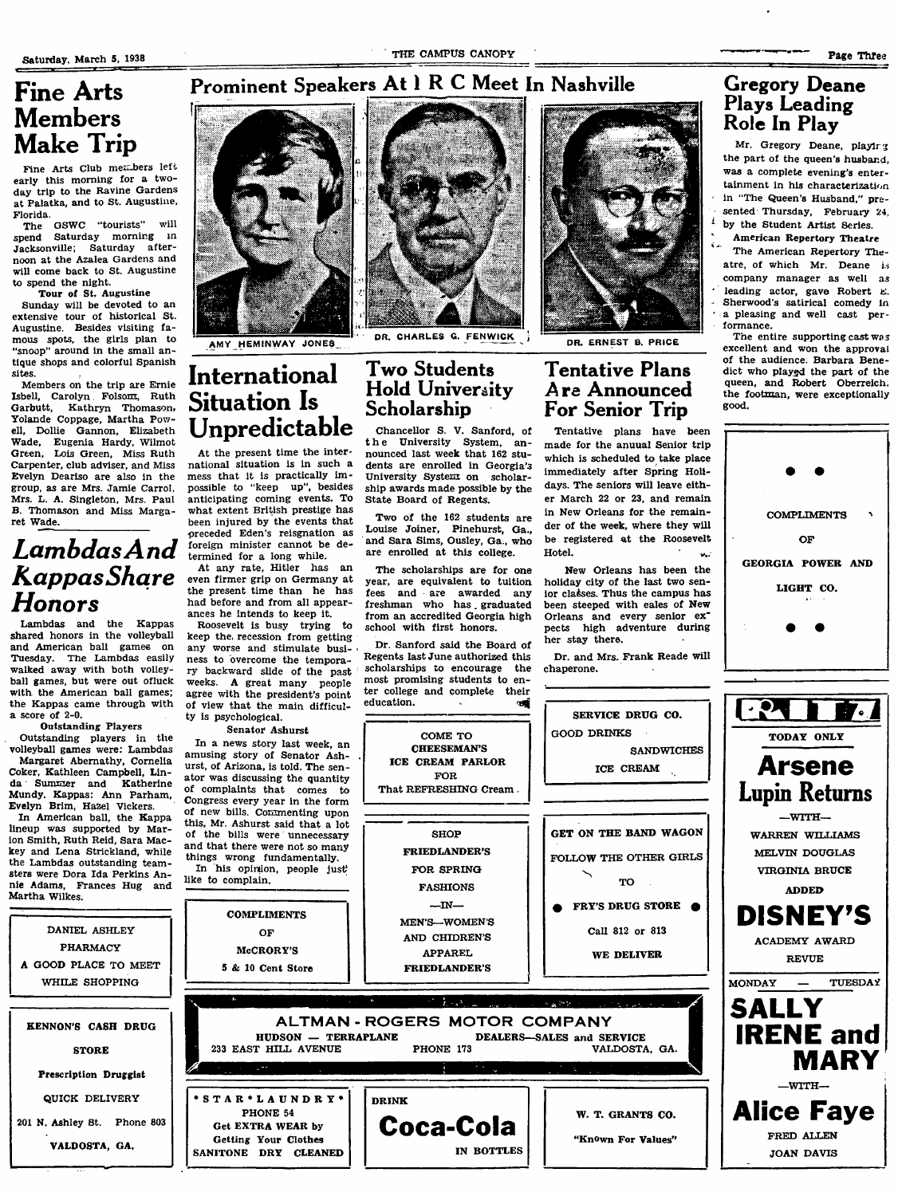# Fine Arts Members Make Trip

Fine Arts Club members left early this morning for a twoday trip to the Ravine Gardens at Palatka, and to St. Augustine, Florida.

The GSWC "tourists" will spend Saturday morning in Jacksonville; Saturday afternoon at the Azalea Gardens and will come back to St. Augustine to spend the night.

Tour of St. Augustine

Sunday will be devoted to an extensive tour of historical St. Augustine. Besides visiting famous spots, the girls plan to 'snoop" around in the small antique shops and colorful Spanish sites.

Members on the trip are Ernie Isbell, Carolyn Folsom, Ruth<br>Garbutt, Kathryn Thomason, Kathryn Thomason, Yolande Coppage, Martha Powell, Dollie Gannon, Elizabeth Wade, Eugenia Hardy, Wilmot Green, Lois Green, Miss Ruth Carpenter, club adviser, and Miss Evelyn Deariso are also in the group, as are Mrs. Jamie Carrol, Mrs. L. A. Singleton, Mrs. Paul B. Thomason and Miss Margaret Wade.

# Lambdas And<br>Kappas Share Honors

Lambdas and the Kappas shared honors in the volleyball and American ball games on Tuesday. The Lambdas easily walked away with both volleyball games, but were out ofluck with the American ball games; the Kappas came through with a score of 2-0.

Outstanding Players Outstanding players in the volleyball games were: Lambdas Margaret Abernathy, Cornelia Coker, Kathleen Campbell, Linda Summer and Katherine Mundy. Kappas: Ann Parham, Evelyn Brim, Hazel Vickers.

In American ball, the Kappa lineup was supported by Marion Smith, Ruth Reid, Sara Mackey and Lena Strickland, while the Lambdas outstanding teamsters were Dora Ida Perkins Annie Adams, Frances Hug and Martha Wilkes.

DANIEL ASHLEY PHARMACY A GOOD PLACE TO MEET WHILE SHOPPING



AMY HEM!NWAY JONES

what extent British prestige has been injured by the events that preceded Eden's reisgnation as foreign minister cannot be determined for a long while. At any rate, Hitler has an even firmer grip on Germany at the present time than he has had before and from all appearances he intends to keep it. Roosevelt is busy trying to

# DR. CHARLES G. FENWICK DR. ERNEST B. PRICE

### International Two Students Hold University Scholarship

the University System, announced last week that 162 students are enrolled in Georgia's University System on scholarship awards made possible by the State Board of Regents.

Louise Joiner, Pinehurst, Ga., and Sara Sims, Ousley, Ga., who are enrolled at this college.

year, are equivalent to tuition fees and are awarded any freshman who has. graduated from an accredited Georgia high

Regents last June authorized this scholarships to encourage the education.



# Tentative Pians Are Announced For Senior Trip

Tentative plans have been made for the anuual Senior trip which is scheduled to take place immediately after Spring Holidays. The seniors will leave either March 22 or 23, and remain in New Orleans for the remainder of the week, where they will be registered at the Roosevelt Hotel.

New Orleans has been the holiday city of the last two senior classes. Thus the campus has been steeped with eales of New Orleans and every senior ex' pects high adventure during her stay there.

Dr. and Mrs. Frank Reade will chaperone.

W. T. GRANTS CO.

"KnOwn For Values"

# Gregory Deane Plays Leading Roic In Play

Mr. Gregory Deane, playlrg the part of the queen's husband, was a complete evening's entertainment in his characterization in "The Queen's Husband," presented Thursday, February 24, by the Student Artist Series. American Repertory Theatre

The American Repertory Theatre, of which Mr, Deane is company manager as well as leading actor, gave Robert E. Sherwood's satirical comedy in a pleasing and well cast performance.

The entire supporting cast was excellent and won the approvai of the audience. Barbara Benedict who playgd the part of the queen, and Robert Oberreich, the footman, were exceptionally good.



### Situation Is Unpredictable At the present time the international situation is in such a mess that it is practically impossible to "keep up", besides anticipating coming events. To Chancellor S. V. Sanford, of

Two of the 162 students are

The scholarships are for one school with first honors.

Dr. Sanford said the Board of



of the bills were unnecessary and that there were not so many McCRORY'S 5 & 10 Cent Store  $-$ IN $-$ MEN'S—WOMEN'S AND CHIDREN'S APPAREL FRIEDLANDER'S GET ON THE BAND WAGON FOLLOW THE OTHER GIRLS FRY'S DRUG STORE  $\bullet$ Call 812 or 813 WE DELIVER  $\mathsf{ALTMAN}\cdot\mathsf{ROGERS}$   $\mathsf{MOTOR}$   $\mathsf{COMPANY}$ HUDSON — TERRAPLANE 233 EAST HILL AVENUE DEALERS—SALES and SERVICE PHONE 173 VALDOSTA, GA.

**Coca-Cota**

IN BOTTLES

DRINK



things wrong fundamentally. In his opinion, people just

OF

\*STAR\*LAUNDRY\* PHONE 54 Get EXTRA WEAR by Getting Your Clothes SANITONE DRY CLEANED

like to complain. **COMPLIMENTS** 

KENNON'S CASH DRUG STORE Prescription Druggist QUICK DELIVERY 201 N. Ashley St. Phone 803 VALDOSTA. GA.